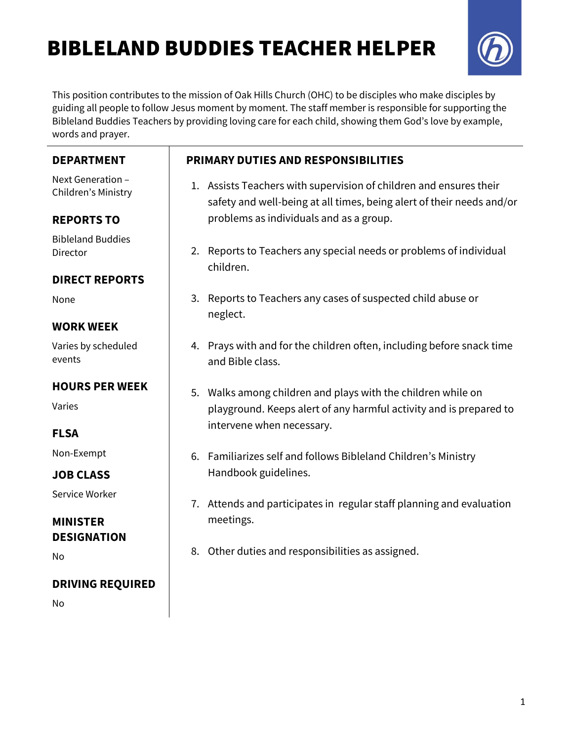# BIBLELAND BUDDIES TEACHER HELPER



This position contributes to the mission of Oak Hills Church (OHC) to be disciples who make disciples by guiding all people to follow Jesus moment by moment. The staff member is responsible for supporting the Bibleland Buddies Teachers by providing loving care for each child, showing them God's love by example, words and prayer.

| <b>DEPARTMENT</b>                        | <b>PRIMARY DUTIES AND RESPONSIBILITIES</b>                                                                                                  |
|------------------------------------------|---------------------------------------------------------------------------------------------------------------------------------------------|
| Next Generation -<br>Children's Ministry | 1. Assists Teachers with supervision of children and ensures their<br>safety and well-being at all times, being alert of their needs and/or |
| <b>REPORTS TO</b>                        | problems as individuals and as a group.                                                                                                     |
| <b>Bibleland Buddies</b><br>Director     | Reports to Teachers any special needs or problems of individual<br>2.<br>children.                                                          |
| <b>DIRECT REPORTS</b>                    |                                                                                                                                             |
| None                                     | Reports to Teachers any cases of suspected child abuse or<br>3.<br>neglect.                                                                 |
| <b>WORK WEEK</b>                         |                                                                                                                                             |
| Varies by scheduled<br>events            | 4. Prays with and for the children often, including before snack time<br>and Bible class.                                                   |
| <b>HOURS PER WEEK</b>                    | Walks among children and plays with the children while on<br>5.                                                                             |
| Varies                                   | playground. Keeps alert of any harmful activity and is prepared to                                                                          |
| <b>FLSA</b>                              | intervene when necessary.                                                                                                                   |
| Non-Exempt                               | Familiarizes self and follows Bibleland Children's Ministry<br>6.                                                                           |
| <b>JOB CLASS</b>                         | Handbook guidelines.                                                                                                                        |
| Service Worker                           | 7. Attends and participates in regular staff planning and evaluation                                                                        |
| <b>MINISTER</b><br><b>DESIGNATION</b>    | meetings.                                                                                                                                   |
| No                                       | 8. Other duties and responsibilities as assigned.                                                                                           |
| <b>DRIVING REQUIRED</b>                  |                                                                                                                                             |
| No                                       |                                                                                                                                             |
|                                          |                                                                                                                                             |